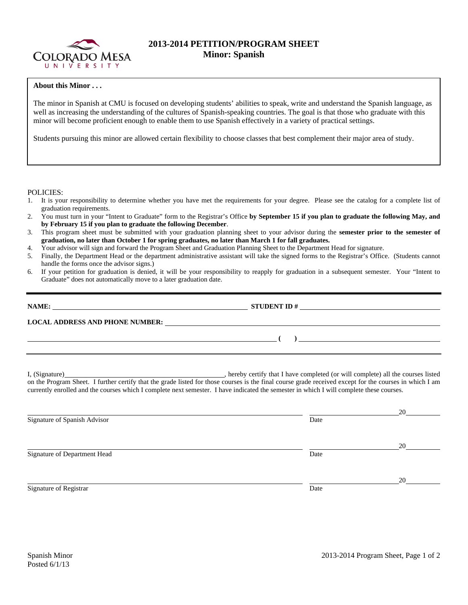

## **2013-2014 PETITION/PROGRAM SHEET Minor: Spanish**

## **About this Minor . . .**

The minor in Spanish at CMU is focused on developing students' abilities to speak, write and understand the Spanish language, as well as increasing the understanding of the cultures of Spanish-speaking countries. The goal is that those who graduate with this minor will become proficient enough to enable them to use Spanish effectively in a variety of practical settings.

Students pursuing this minor are allowed certain flexibility to choose classes that best complement their major area of study.

POLICIES:

- 1. It is your responsibility to determine whether you have met the requirements for your degree. Please see the catalog for a complete list of graduation requirements.
- 2. You must turn in your "Intent to Graduate" form to the Registrar's Office **by September 15 if you plan to graduate the following May, and by February 15 if you plan to graduate the following December**.
- 3. This program sheet must be submitted with your graduation planning sheet to your advisor during the **semester prior to the semester of graduation, no later than October 1 for spring graduates, no later than March 1 for fall graduates.**
- 4. Your advisor will sign and forward the Program Sheet and Graduation Planning Sheet to the Department Head for signature.
- 5. Finally, the Department Head or the department administrative assistant will take the signed forms to the Registrar's Office. (Students cannot handle the forms once the advisor signs.)
- 6. If your petition for graduation is denied, it will be your responsibility to reapply for graduation in a subsequent semester. Your "Intent to Graduate" does not automatically move to a later graduation date.

|                                                                                                                                                                                                                               | LOCAL ADDRESS AND PHONE NUMBER: Under the contract of the contract of the contract of the contract of the contract of the contract of the contract of the contract of the contract of the contract of the contract of the cont                                                                                                                                                       |
|-------------------------------------------------------------------------------------------------------------------------------------------------------------------------------------------------------------------------------|--------------------------------------------------------------------------------------------------------------------------------------------------------------------------------------------------------------------------------------------------------------------------------------------------------------------------------------------------------------------------------------|
| <u> 1999 - Andrea Andrew Maria (h. 1989).</u>                                                                                                                                                                                 | $\begin{pmatrix} 1 & 1 \end{pmatrix}$ and $\begin{pmatrix} 1 & 1 \ 1 & 1 \end{pmatrix}$ and $\begin{pmatrix} 1 & 1 \ 1 & 1 \end{pmatrix}$ and $\begin{pmatrix} 1 & 1 \ 1 & 1 \end{pmatrix}$ and $\begin{pmatrix} 1 & 1 \ 1 & 1 \end{pmatrix}$ and $\begin{pmatrix} 1 & 1 \ 1 & 1 \end{pmatrix}$ and $\begin{pmatrix} 1 & 1 \ 1 & 1 \end{pmatrix}$ and $\begin{pmatrix} 1 & 1 \ 1 & $ |
| I, (Signature) 2008. Example 2008. The same state of the state of the state of the state of the state of the state of the state of the state of the state of the state of the state of the state of the state of the state of | _, hereby certify that I have completed (or will complete) all the courses listed                                                                                                                                                                                                                                                                                                    |

on the Program Sheet. I further certify that the grade listed for those courses is the final course grade received except for the courses in which I am currently enrolled and the courses which I complete next semester. I have indicated the semester in which I will complete these courses.

|                              |      | 20 |
|------------------------------|------|----|
| Signature of Spanish Advisor | Date |    |
|                              |      | 20 |
| Signature of Department Head | Date |    |
|                              |      | 20 |
| Signature of Registrar       | Date |    |